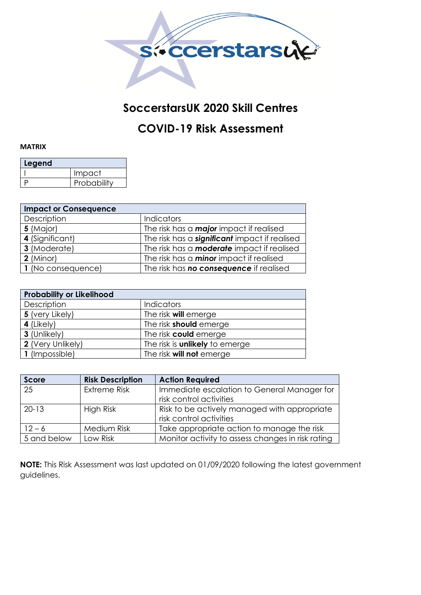

## **SoccerstarsUK 2020 Skill Centres**

## **COVID-19 Risk Assessment**

## **MATRIX**

| Legend |             |  |  |  |  |  |  |  |
|--------|-------------|--|--|--|--|--|--|--|
|        | Impact      |  |  |  |  |  |  |  |
|        | Probability |  |  |  |  |  |  |  |

| <b>Impact or Consequence</b> |                                                      |  |  |  |  |  |  |
|------------------------------|------------------------------------------------------|--|--|--|--|--|--|
| Description                  | <b>Indicators</b>                                    |  |  |  |  |  |  |
| 5 (Major)                    | The risk has a <b>major</b> impact if realised       |  |  |  |  |  |  |
| 4 (Significant)              | The risk has a <b>significant</b> impact if realised |  |  |  |  |  |  |
| 3 (Moderate)                 | The risk has a <b>moderate</b> impact if realised    |  |  |  |  |  |  |
| $2$ (Minor)                  | The risk has a <b>minor</b> impact if realised       |  |  |  |  |  |  |
| 1 (No consequence)           | The risk has <b>no consequence</b> if realised       |  |  |  |  |  |  |

| <b>Probability or Likelihood</b> |                                       |  |  |  |  |  |  |
|----------------------------------|---------------------------------------|--|--|--|--|--|--|
| Description                      | <b>Indicators</b>                     |  |  |  |  |  |  |
| 5 (very Likely)                  | The risk <b>will</b> emerge           |  |  |  |  |  |  |
| 4 (Likely)                       | The risk <b>should</b> emerge         |  |  |  |  |  |  |
| 3 (Unlikely)                     | The risk could emerge                 |  |  |  |  |  |  |
| 2 (Very Unlikely)                | The risk is <b>unlikely</b> to emerge |  |  |  |  |  |  |
| 1 (Impossible)                   | The risk <b>will not</b> emerge       |  |  |  |  |  |  |

| <b>Score</b> | <b>Risk Description</b> | <b>Action Required</b>                            |  |
|--------------|-------------------------|---------------------------------------------------|--|
| 25           | <b>Extreme Risk</b>     | Immediate escalation to General Manager for       |  |
|              |                         | risk control activities                           |  |
| $20-13$      | High Risk               | Risk to be actively managed with appropriate      |  |
|              |                         | risk control activities                           |  |
| $12 - 6$     | Medium Risk             | Take appropriate action to manage the risk        |  |
| 5 and below  | Low Risk                | Monitor activity to assess changes in risk rating |  |

**NOTE:** This Risk Assessment was last updated on 01/09/2020 following the latest government guidelines.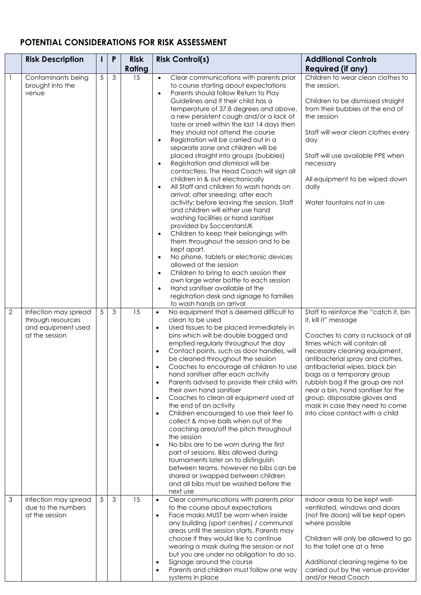## **POTENTIAL CONSIDERATIONS FOR RISK ASSESSMENT**

|                | <b>Risk Description</b>                                                           | L | P              | <b>Risk</b> | <b>Risk Control(s)</b>                                                                                                                                                                                                                                                                                                                                                                                                                                                                                                                                                                                                                                                                                                                                                                                                                                                                                                                                                                                                                                                                                                                                                                                                                                                                                             | <b>Additional Controls</b>                                                                                                                                                                                                                                                                                                                                                                                                                             |
|----------------|-----------------------------------------------------------------------------------|---|----------------|-------------|--------------------------------------------------------------------------------------------------------------------------------------------------------------------------------------------------------------------------------------------------------------------------------------------------------------------------------------------------------------------------------------------------------------------------------------------------------------------------------------------------------------------------------------------------------------------------------------------------------------------------------------------------------------------------------------------------------------------------------------------------------------------------------------------------------------------------------------------------------------------------------------------------------------------------------------------------------------------------------------------------------------------------------------------------------------------------------------------------------------------------------------------------------------------------------------------------------------------------------------------------------------------------------------------------------------------|--------------------------------------------------------------------------------------------------------------------------------------------------------------------------------------------------------------------------------------------------------------------------------------------------------------------------------------------------------------------------------------------------------------------------------------------------------|
|                |                                                                                   |   |                | Rating      |                                                                                                                                                                                                                                                                                                                                                                                                                                                                                                                                                                                                                                                                                                                                                                                                                                                                                                                                                                                                                                                                                                                                                                                                                                                                                                                    | <b>Required (if any)</b>                                                                                                                                                                                                                                                                                                                                                                                                                               |
| $\overline{1}$ | Contaminants being<br>brought into the<br>venue                                   | 5 | $\mathfrak{S}$ | 15          | Clear communications with parents prior<br>$\bullet$<br>to course starting about expectations<br>Parents should follow Return to Play<br>$\bullet$<br>Guidelines and if their child has a<br>temperature of 37.8 degrees and above,<br>a new persistent cough and/or a lack of<br>taste or smell within the last 14 days then<br>they should not attend the course<br>Registration will be carried out in a<br>$\bullet$<br>separate zone and children will be<br>placed straight into groups (bubbles)<br>Registration and dismissal will be<br>$\bullet$<br>contactless. The Head Coach will sign all<br>children in & out electronically<br>All Staff and children to wash hands on<br>$\bullet$<br>arrival; after sneezing; after each<br>activity; before leaving the session. Staff<br>and children will either use hand<br>washing facilities or hand sanitiser<br>provided by SoccerstarsUK<br>Children to keep their belongings with<br>$\bullet$<br>them throughout the session and to be<br>kept apart.<br>No phone, tablets or electronic devices<br>allowed at the session<br>Children to bring to each session their<br>$\bullet$<br>own large water bottle to each session<br>Hand sanitiser available at the<br>$\bullet$<br>registration desk and signage to families<br>to wash hands on arrival | Children to wear clean clothes to<br>the session.<br>Children to be dismissed straight<br>from their bubbles at the end of<br>the session<br>Staff will wear clean clothes every<br>day<br>Staff will use available PPE when<br>necessary<br>All equipment to be wiped down<br>daily<br>Water fountains not in use                                                                                                                                     |
| $\overline{2}$ | Infection may spread<br>through resources<br>and equipment used<br>at the session | 5 | $\mathfrak{S}$ | 15          | No equipment that is deemed difficult to<br>$\bullet$<br>clean to be used<br>Used tissues to be placed immediately in<br>$\bullet$<br>bins which will be double bagged and<br>emptied regularly throughout the day<br>Contact points, such as door handles, will<br>$\bullet$<br>be cleaned throughout the session<br>Coaches to encourage all children to use<br>$\bullet$<br>hand sanitiser after each activity<br>Parents advised to provide their child with<br>$\bullet$<br>their own hand sanitiser<br>Coaches to clean all equipment used at<br>$\bullet$<br>the end of an activity<br>Children encouraged to use their feet to<br>$\bullet$<br>collect & move balls when out of the<br>coaching area/off the pitch throughout<br>the session<br>No bibs are to be worn during the first<br>$\bullet$<br>part of sessions. Bibs allowed during<br>tournaments later on to distinguish<br>between teams, however no bibs can be<br>shared or swapped between children<br>and all bibs must be washed before the<br>next use                                                                                                                                                                                                                                                                                  | Staff to reinforce the "catch it, bin<br>it, kill it" message<br>Coaches to carry a rucksack at all<br>times which will contain all<br>necessary cleaning equipment,<br>antibacterial spray and clothes,<br>antibacterial wipes, black bin<br>bags as a temporary group<br>rubbish bag if the group are not<br>near a bin, hand sanitiser for the<br>group, disposable gloves and<br>mask in case they need to come<br>into close contact with a child |
| $\mathfrak{Z}$ | Infection may spread<br>due to the numbers<br>at the session                      | 5 | 3              | 15          | Clear communications with parents prior<br>$\bullet$<br>to the course about expectations<br>Face masks MUST be worn when inside<br>$\bullet$<br>any building (sport centres) / communal<br>areas until the session starts. Parents may<br>choose if they would like to continue<br>wearing a mask during the session or not<br>but you are under no obligation to do so.<br>Signage around the course<br>$\bullet$<br>Parents and children must follow one way<br>systems in place                                                                                                                                                                                                                                                                                                                                                                                                                                                                                                                                                                                                                                                                                                                                                                                                                                 | Indoor areas to be kept well-<br>ventilated, windows and doors<br>(not fire doors) will be kept open<br>where possible<br>Children will only be allowed to go<br>to the toilet one at a time<br>Additional cleaning regime to be<br>carried out by the venue provider<br>and/or Head Coach                                                                                                                                                             |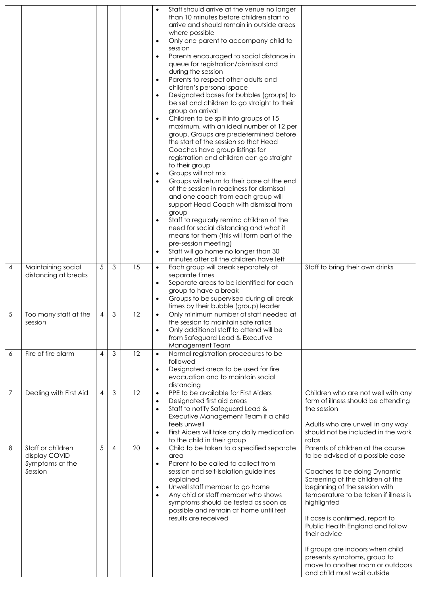|   |                                                                  |                |   |    | Staff should arrive at the venue no longer<br>$\bullet$<br>than 10 minutes before children start to<br>arrive and should remain in outside areas<br>where possible<br>Only one parent to accompany child to<br>$\bullet$<br>session<br>Parents encouraged to social distance in<br>$\bullet$<br>queue for registration/dismissal and<br>during the session<br>Parents to respect other adults and<br>$\bullet$<br>children's personal space<br>Designated bases for bubbles (groups) to<br>$\bullet$<br>be set and children to go straight to their<br>group on arrival<br>Children to be split into groups of 15<br>$\bullet$<br>maximum, with an ideal number of 12 per<br>group. Groups are predetermined before<br>the start of the session so that Head<br>Coaches have group listings for<br>registration and children can go straight<br>to their group<br>Groups will not mix<br>$\bullet$<br>Groups will return to their base at the end<br>of the session in readiness for dismissal<br>and one coach from each group will<br>support Head Coach with dismissal from<br>group<br>Staff to regularly remind children of the<br>$\bullet$<br>need for social distancing and what it<br>means for them (this will form part of the<br>pre-session meeting)<br>Staff will go home no longer than 30<br>$\bullet$<br>minutes after all the children have left |  |
|---|------------------------------------------------------------------|----------------|---|----|--------------------------------------------------------------------------------------------------------------------------------------------------------------------------------------------------------------------------------------------------------------------------------------------------------------------------------------------------------------------------------------------------------------------------------------------------------------------------------------------------------------------------------------------------------------------------------------------------------------------------------------------------------------------------------------------------------------------------------------------------------------------------------------------------------------------------------------------------------------------------------------------------------------------------------------------------------------------------------------------------------------------------------------------------------------------------------------------------------------------------------------------------------------------------------------------------------------------------------------------------------------------------------------------------------------------------------------------------------------------|--|
| 4 | Maintaining social<br>distancing at breaks                       | 5              | 3 | 15 | Each group will break separately at<br>Staff to bring their own drinks<br>$\bullet$<br>separate times<br>Separate areas to be identified for each<br>$\bullet$<br>group to have a break<br>Groups to be supervised during all break<br>times by their bubble (group) leader                                                                                                                                                                                                                                                                                                                                                                                                                                                                                                                                                                                                                                                                                                                                                                                                                                                                                                                                                                                                                                                                                        |  |
| 5 | Too many staff at the<br>session                                 | 4              | 3 | 12 | Only minimum number of staff needed at<br>the session to maintain sate ratios<br>Only additional staff to attend will be<br>from Safeguard Lead & Executive<br>Management Team                                                                                                                                                                                                                                                                                                                                                                                                                                                                                                                                                                                                                                                                                                                                                                                                                                                                                                                                                                                                                                                                                                                                                                                     |  |
| 6 | Fire of fire alarm                                               | $\overline{4}$ | 3 | 12 | Normal registration procedures to be<br>$\bullet$<br>followed<br>Designated areas to be used for fire<br>$\bullet$<br>evacuation and to maintain social<br>distancing                                                                                                                                                                                                                                                                                                                                                                                                                                                                                                                                                                                                                                                                                                                                                                                                                                                                                                                                                                                                                                                                                                                                                                                              |  |
| 7 | Dealing with First Aid                                           | 4              | 3 | 12 | PPE to be available for First Aiders<br>Children who are not well with any<br>$\bullet$<br>Designated first aid areas<br>form of illness should be attending<br>$\bullet$<br>Staff to notify Safeguard Lead &<br>the session<br>$\bullet$<br>Executive Management Team if a child<br>feels unwell<br>Adults who are unwell in any way<br>First Aiders will take any daily medication<br>should not be included in the work<br>$\bullet$<br>to the child in their group<br>rotas                                                                                                                                                                                                                                                                                                                                                                                                                                                                                                                                                                                                                                                                                                                                                                                                                                                                                    |  |
| 8 | Staff or children<br>display COVID<br>Symptoms at the<br>Session | 5              | 4 | 20 | Child to be taken to a specified separate<br>Parents of children at the course<br>$\bullet$<br>to be advised of a possible case<br>area<br>Parent to be called to collect from<br>$\bullet$<br>session and self-isolation guidelines<br>Coaches to be doing Dynamic<br>explained<br>Screening of the children at the<br>Unwell staff member to go home<br>beginning of the session with<br>$\bullet$<br>Any chid or staff member who shows<br>temperature to be taken if illness is<br>$\bullet$<br>symptoms should be tested as soon as<br>highlighted<br>possible and remain at home until test<br>results are received<br>If case is confirmed, report to<br>Public Health England and follow<br>their advice<br>If groups are indoors when child<br>presents symptoms, group to<br>move to another room or outdoors<br>and child must wait outside                                                                                                                                                                                                                                                                                                                                                                                                                                                                                                             |  |